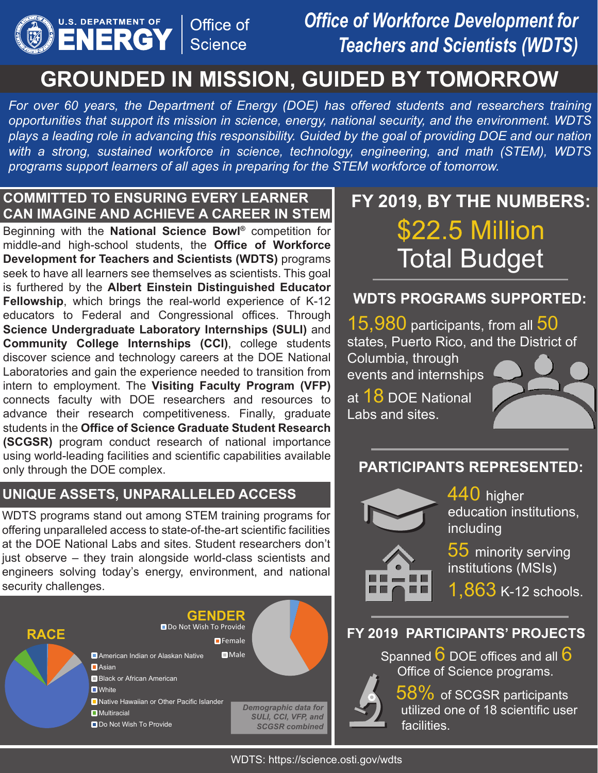

## *Office of Workforce Development for Teachers and Scientists (WDTS)*

## **GROUNDED IN MISSION, GUIDED BY TOMORROW**

*For over 60 years, the Department of Energy (DOE) has offered students and researchers training opportunities that support its mission in science, energy, national security, and the environment. WDTS plays a leading role in advancing this responsibility. Guided by the goal of providing DOE and our nation with a strong, sustained workforce in science, technology, engineering, and math (STEM), WDTS programs support learners of all ages in preparing for the STEM workforce of tomorrow.* 

#### **COMMITTED TO ENSURING EVERY LEARNER CAN IMAGINE AND ACHIEVE A CAREER IN STEM**

Beginning with the **National Science Bowl®** competition for middle-and high-school students, the **Office of Workforce Development for Teachers and Scientists (WDTS)** programs seek to have all learners see themselves as scientists. This goal is furthered by the **Albert Einstein Distinguished Educator Fellowship**, which brings the real-world experience of K-12 educators to Federal and Congressional offices. Through **Science Undergraduate Laboratory Internships (SULI)** and **Community College Internships (CCI)**, college students discover science and technology careers at the DOE National Laboratories and gain the experience needed to transition from intern to employment. The **Visiting Faculty Program (VFP)**  connects faculty with DOE researchers and resources to advance their research competitiveness. Finally, graduate students in the **Office of Science Graduate Student Research (SCGSR)** program conduct research of national importance using world-leading facilities and scientific capabilities available only through the DOE complex.

#### **UNIQUE ASSETS, UNPARALLELED ACCESS**

WDTS programs stand out among STEM training programs for offering unparalleled access to state-of-the-art scientific facilities at the DOE National Labs and sites. Student researchers don't just observe – they train alongside world-class scientists and engineers solving today's energy, environment, and national security challenges.

| <b>RACE</b> | <b>GENDER</b><br>Do Not Wish To Provide<br>$\blacksquare$ Female                                                 |                                                                      |
|-------------|------------------------------------------------------------------------------------------------------------------|----------------------------------------------------------------------|
|             | American Indian or Alaskan Native<br>$\blacksquare$ Asian<br>■ Black or African American<br>$\blacksquare$ White | $\blacksquare$ Male                                                  |
|             | Native Hawaiian or Other Pacific Islander<br>$\blacksquare$ Multiracial<br>Do Not Wish To Provide                | Demographic data for<br>SULI, CCI, VFP, and<br><b>SCGSR combined</b> |

# **FY 2019, BY THE NUMBERS:**  \$22.5 Million Total Budget

#### **WDTS PROGRAMS SUPPORTED:**

15,980 participants, from all 50 states, Puerto Rico, and the District of

Columbia, through events and internships

at 18 DOE National Labs and sites.



#### **PARTICIPANTS REPRESENTED:**



440 higher education institutions, including

55 minority serving institutions (MSIs)

1,863 K-12 schools.

#### **FY 2019 PARTICIPANTS' PROJECTS**

Spanned  $6$  DOE offices and all  $6$ Office of Science programs.

 $58\%$  of SCGSR participants utilized one of 18 scientific user facilities.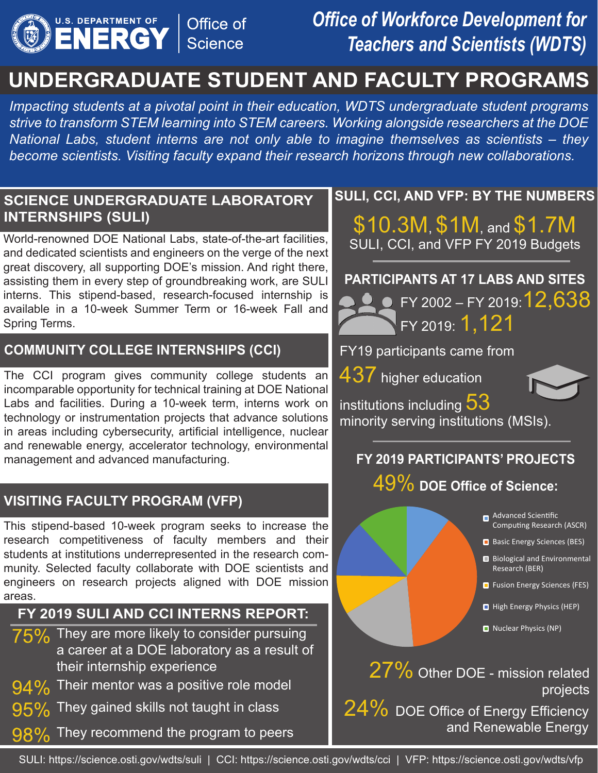

## *Office of Workforce Development for Teachers and Scientists (WDTS)*

## **UNDERGRADUATE STUDENT AND FACULTY PROGRAMS**

*Impacting students at a pivotal point in their education, WDTS undergraduate student programs strive to transform STEM learning into STEM careers. Working alongside researchers at the DOE National Labs, student interns are not only able to imagine themselves as scientists – they become scientists. Visiting faculty expand their research horizons through new collaborations.* 

#### **SCIENCE UNDERGRADUATE LABORATORY INTERNSHIPS (SULI)**

World-renowned DOE National Labs, state-of-the-art facilities, and dedicated scientists and engineers on the verge of the next great discovery, all supporting DOE's mission. And right there, assisting them in every step of groundbreaking work, are SULI interns. This stipend-based, research-focused internship is available in a 10-week Summer Term or 16-week Fall and Spring Terms.

#### **COMMUNITY COLLEGE INTERNSHIPS (CCI)**

The CCI program gives community college students an incomparable opportunity for technical training at DOE National Labs and facilities. During a 10-week term, interns work on technology or instrumentation projects that advance solutions in areas including cybersecurity, artificial intelligence, nuclear and renewable energy, accelerator technology, environmental management and advanced manufacturing.

#### **VISITING FACULTY PROGRAM (VFP)**

This stipend-based 10-week program seeks to increase the research competitiveness of faculty members and their students at institutions underrepresented in the research community. Selected faculty collaborate with DOE scientists and engineers on research projects aligned with DOE mission areas.

#### **FY 2019 SULI AND CCI INTERNS REPORT:**

- $75\%$  They are more likely to consider pursuing a career at a DOE laboratory as a result of their internship experience
- $94\%$  Their mentor was a positive role model
- 95% They gained skills not taught in class

They recommend the program to peers 98%

#### **SULI, CCI, AND VFP: BY THE NUMBERS**

\$10.3M, \$1M, and \$1.7M SULI, CCI, and VFP FY 2019 Budgets

#### **PARTICIPANTS AT 17 LABS AND SITES**



FY19 participants came from

437 higher education



institutions including  $53$ minority serving institutions (MSIs).

#### **FY 2019 PARTICIPANTS' PROJECTS**

#### 49% **DOE Office of Science:**

- Advanced Scientific Computing Research (ASCR)
- Basic Energy Sciences (BES)
- Biological and Environmental Research (BER)
- **Fusion Energy Sciences (FES)**
- High Energy Physics (HEP)
- Nuclear Physics (NP)

27% Other DOE - mission related projects

24% DOE Office of Energy Efficiency and Renewable Energy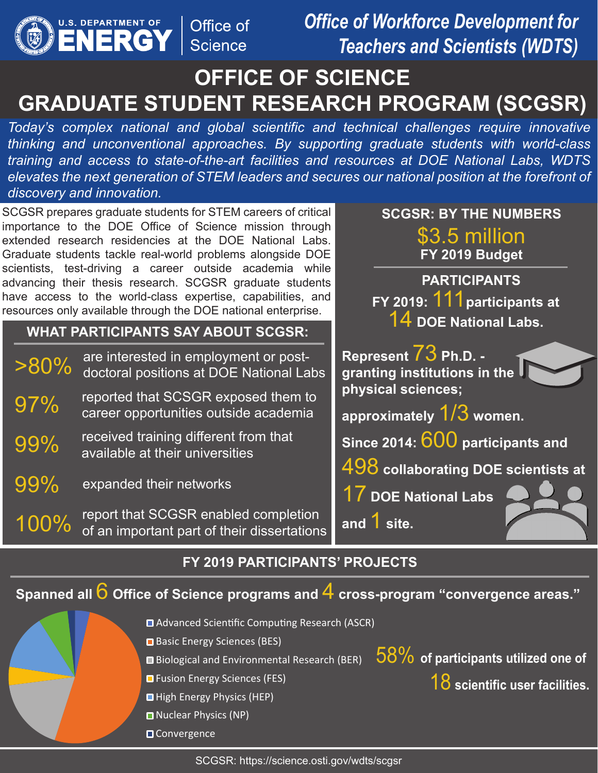

*Office of Workforce Development for Teachers and Scientists (WDTS)* 

## **OFFICE OF SCIENCE GRADUATE STUDENT RESEARCH PROGRAM (SCGSR)**

*Today's complex national and global scientific and technical challenges require innovative thinking and unconventional approaches. By supporting graduate students with world-class training and access to state-of-the-art facilities and resources at DOE National Labs, WDTS elevates the next generation of STEM leaders and secures our national position at the forefront of discovery and innovation.* 

SCGSR prepares graduate students for STEM careers of critical importance to the DOE Office of Science mission through extended research residencies at the DOE National Labs. Graduate students tackle real-world problems alongside DOE scientists, test-driving a career outside academia while advancing their thesis research. SCGSR graduate students have access to the world-class expertise, capabilities, and resources only available through the DOE national enterprise.

#### **WHAT PARTICIPANTS SAY ABOUT SCGSR:**

| $>80\%$ | are interested in employment or post-<br>doctoral positions at DOE National Labs |  |
|---------|----------------------------------------------------------------------------------|--|
| 97%     | reported that SCSGR exposed them to<br>career opportunities outside academia     |  |
| 99%     | received training different from that<br>available at their universities         |  |
| 99%     | expanded their networks                                                          |  |
| $100\%$ | report that SCGSR enabled completion<br>.                                        |  |

# of an important part of their dissertations

#### **SCGSR: BY THE NUMBERS**  \$3.5 million **FY 2019 Budget**

**PARTICIPANTS FY 2019:** 111**participants at** 14 **DOE National Labs.** 

**Represent** 73 **Ph.D. granting institutions in the physical sciences;** 

**approximately** 1/3 **women.** 

**Since 2014:** 600 **participants and** 

498 **collaborating DOE scientists at** 

17 **DOE National Labs** 

**and** 1 **site.** 

#### **FY 2019 PARTICIPANTS' PROJECTS**

**Spanned all** 6 **Office of Science programs and** 4 **cross-program "convergence areas."**